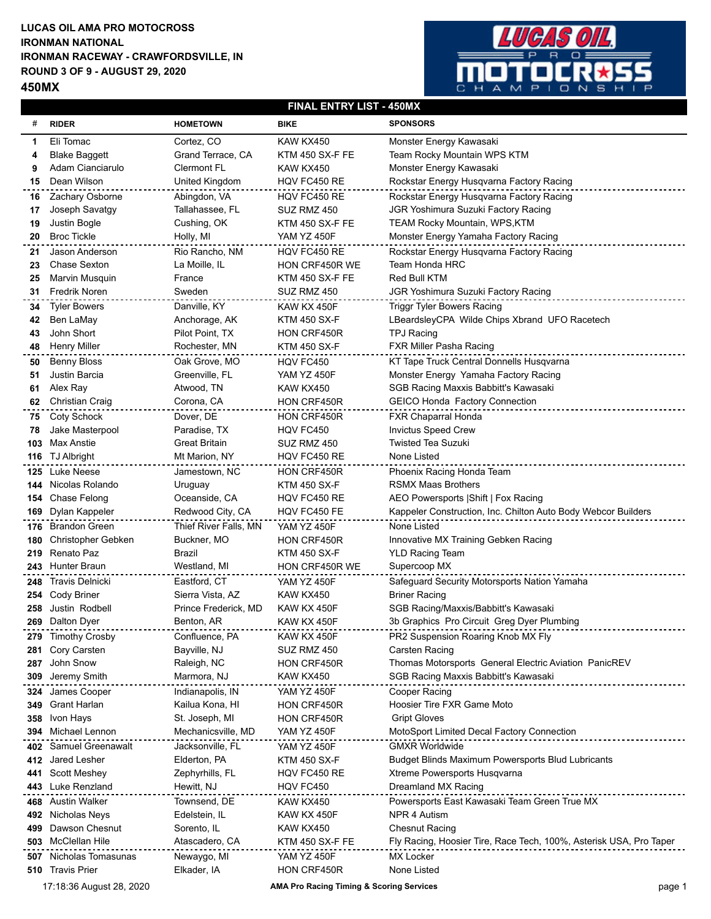## **LUCAS OIL AMA PRO MOTOCROSS IRONMAN RACEWAY - CRAWFORDSVILLE, IN ROUND 3 OF 9 - AUGUST 29, 2020 IRONMAN NATIONAL**

**450MX**



## **FINAL ENTRY LIST - 450MX**

| #    | <b>RIDER</b>                                                                              | <b>HOMETOWN</b>       | <b>BIKE</b>         | <b>SPONSORS</b>                                                    |
|------|-------------------------------------------------------------------------------------------|-----------------------|---------------------|--------------------------------------------------------------------|
| 1    | Eli Tomac                                                                                 | Cortez, CO            | KAW KX450           | Monster Energy Kawasaki                                            |
| 4    | <b>Blake Baggett</b>                                                                      | Grand Terrace, CA     | KTM 450 SX-F FE     | Team Rocky Mountain WPS KTM                                        |
| 9    | Adam Cianciarulo                                                                          | <b>Clermont FL</b>    | KAW KX450           | Monster Energy Kawasaki                                            |
| 15   | Dean Wilson                                                                               | United Kingdom        | HQV FC450 RE        | Rockstar Energy Husqvarna Factory Racing                           |
| 16   | Zachary Osborne                                                                           | Abingdon, VA          | HQV FC450 RE        | Rockstar Energy Husqvarna Factory Racing                           |
| 17   | Joseph Savatgy                                                                            | Tallahassee, FL       | SUZ RMZ 450         | JGR Yoshimura Suzuki Factory Racing                                |
| 19   | Justin Bogle                                                                              | Cushing, OK           | KTM 450 SX-F FE     | <b>TEAM Rocky Mountain, WPS,KTM</b>                                |
| 20   | <b>Broc Tickle</b>                                                                        | Holly, MI             | YAM YZ 450F         | Monster Energy Yamaha Factory Racing                               |
| 21   | <b>Jason Anderson</b>                                                                     | Rio Rancho, NM        | HQV FC450 RE        | Rockstar Energy Husqvarna Factory Racing                           |
| 23   | <b>Chase Sexton</b>                                                                       | La Moille, IL         | HON CRF450R WE      | Team Honda HRC                                                     |
| 25   | Marvin Musquin                                                                            | France                | KTM 450 SX-F FE     | Red Bull KTM                                                       |
| 31   | <b>Fredrik Noren</b>                                                                      | Sweden                | SUZ RMZ 450         | JGR Yoshimura Suzuki Factory Racing                                |
| 34   | <b>Tyler Bowers</b>                                                                       | Danville, KY          | KAW KX 450F         | <b>Triggr Tyler Bowers Racing</b>                                  |
| 42   | Ben LaMay                                                                                 | Anchorage, AK         | <b>KTM 450 SX-F</b> | LBeardsleyCPA Wilde Chips Xbrand UFO Racetech                      |
| 43   | John Short                                                                                | Pilot Point, TX       | HON CRF450R         | <b>TPJ Racing</b>                                                  |
| 48   | <b>Henry Miller</b>                                                                       | Rochester, MN         | <b>KTM 450 SX-F</b> | FXR Miller Pasha Racing                                            |
| 50   | <b>Benny Bloss</b>                                                                        | Oak Grove, MO         | HQV FC450           | KT Tape Truck Central Donnells Husqvarna                           |
| 51   | Justin Barcia                                                                             | Greenville, FL        | <b>YAM YZ 450F</b>  | Monster Energy Yamaha Factory Racing                               |
| 61   | Alex Ray                                                                                  | Atwood, TN            | KAW KX450           | SGB Racing Maxxis Babbitt's Kawasaki                               |
| 62   | Christian Craig                                                                           | Corona, CA            | HON CRF450R         | <b>GEICO Honda Factory Connection</b>                              |
| 75   | Coty Schock                                                                               | Dover, DE             | HON CRF450R         | <b>FXR Chaparral Honda</b>                                         |
| 78   | Jake Masterpool                                                                           | Paradise, TX          | HQV FC450           | <b>Invictus Speed Crew</b>                                         |
| 103  | Max Anstie                                                                                | Great Britain         | SUZ RMZ 450         | <b>Twisted Tea Suzuki</b>                                          |
| 116  | TJ Albright                                                                               | Mt Marion, NY         | HQV FC450 RE        | None Listed                                                        |
| 125  | Luke Neese                                                                                | Jamestown, NC         | HON CRF450R         | Phoenix Racing Honda Team                                          |
| 144  | Nicolas Rolando                                                                           | Uruguay               | <b>KTM 450 SX-F</b> | <b>RSMX Maas Brothers</b>                                          |
| 154  | Chase Felong                                                                              | Oceanside, CA         | HQV FC450 RE        | AEO Powersports Shift   Fox Racing                                 |
| 169  | Dylan Kappeler                                                                            | Redwood City, CA      | HQV FC450 FE        | Kappeler Construction, Inc. Chilton Auto Body Webcor Builders      |
| 176  | <b>Brandon Green</b>                                                                      | Thief River Falls, MN | <b>YAM YZ 450F</b>  | None Listed                                                        |
| 180  | Christopher Gebken                                                                        | Buckner, MO           | HON CRF450R         | Innovative MX Training Gebken Racing                               |
| 219  | Renato Paz                                                                                | Brazil                | KTM 450 SX-F        | <b>YLD Racing Team</b>                                             |
|      | 243 Hunter Braun                                                                          | Westland, MI          | HON CRF450R WE      | Supercoop MX                                                       |
| 248  | Travis Delnicki                                                                           | Eastford, CT          | YAM YZ 450F         | Safeguard Security Motorsports Nation Yamaha                       |
| 254  | Cody Briner                                                                               | Sierra Vista, AZ      | KAW KX450           | <b>Briner Racing</b>                                               |
| 258  | Justin Rodbell                                                                            | Prince Frederick, MD  | KAW KX 450F         | SGB Racing/Maxxis/Babbitt's Kawasaki                               |
|      | 269 Dalton Dyer                                                                           | Benton, AR            | KAW KX 450F         | 3b Graphics Pro Circuit Greg Dyer Plumbing                         |
| 279  | <b>Timothy Crosby</b>                                                                     | Confluence, PA        | KAW KX 450F         | PR2 Suspension Roaring Knob MX Fly                                 |
| 281  | Cory Carsten                                                                              | Bayville, NJ          | SUZ RMZ 450         | Carsten Racing                                                     |
| 287  | John Snow                                                                                 | Raleigh, NC           | HON CRF450R         | Thomas Motorsports General Electric Aviation PanicREV              |
| 309  | Jeremy Smith                                                                              | Marmora, NJ           | KAW KX450           | SGB Racing Maxxis Babbitt's Kawasaki                               |
| 324  | James Cooper                                                                              | Indianapolis, IN      | <b>YAM YZ 450F</b>  | Cooper Racing                                                      |
| 349  | <b>Grant Harlan</b>                                                                       | Kailua Kona, HI       | HON CRF450R         | Hoosier Tire FXR Game Moto                                         |
| 358  | Ivon Hays                                                                                 | St. Joseph, MI        | HON CRF450R         | <b>Gript Gloves</b>                                                |
| 394  | Michael Lennon                                                                            | Mechanicsville, MD    | <b>YAM YZ 450F</b>  | MotoSport Limited Decal Factory Connection                         |
| 402  | <b>Samuel Greenawalt</b>                                                                  | Jacksonville, FL      | YAM YZ 450F         | <b>GMXR Worldwide</b>                                              |
| 412. | Jared Lesher                                                                              | Elderton, PA          | <b>KTM 450 SX-F</b> | Budget Blinds Maximum Powersports Blud Lubricants                  |
| 441  | <b>Scott Meshey</b>                                                                       | Zephyrhills, FL       | HQV FC450 RE        | Xtreme Powersports Husqvarna                                       |
| 443  | Luke Renzland                                                                             | Hewitt, NJ            | HQV FC450           | Dreamland MX Racing                                                |
| 468  | <b>Austin Walker</b>                                                                      | Townsend, DE          | KAW KX450           | Powersports East Kawasaki Team Green True MX                       |
| 492  | Nicholas Neys                                                                             | Edelstein, IL         | KAW KX 450F         | NPR 4 Autism                                                       |
| 499  | Dawson Chesnut<br>McClellan Hile                                                          | Sorento, IL           | KAW KX450           | <b>Chesnut Racing</b>                                              |
| 503  |                                                                                           | Atascadero, CA        | KTM 450 SX-F FE     | Fly Racing, Hoosier Tire, Race Tech, 100%, Asterisk USA, Pro Taper |
| 507  | Nicholas Tomasunas                                                                        | Newaygo, MI           | <b>YAM YZ 450F</b>  | MX Locker                                                          |
| 510  | <b>Travis Prier</b>                                                                       | Elkader, IA           | HON CRF450R         | None Listed                                                        |
|      | 17:18:36 August 28, 2020<br><b>AMA Pro Racing Timing &amp; Scoring Services</b><br>page 1 |                       |                     |                                                                    |